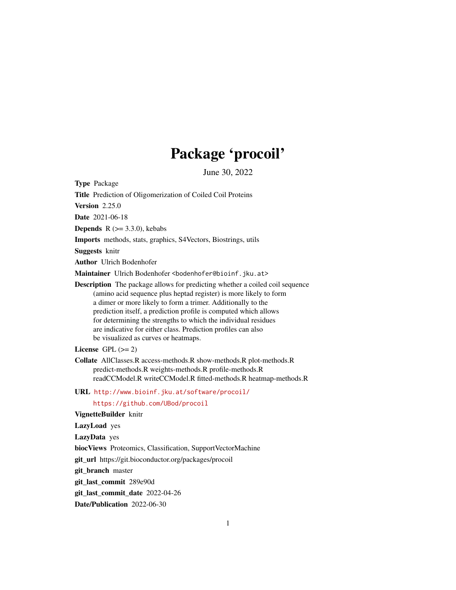# Package 'procoil'

June 30, 2022

<span id="page-0-0"></span>Type Package

Title Prediction of Oligomerization of Coiled Coil Proteins

Version 2.25.0

Date 2021-06-18

**Depends** R  $(>= 3.3.0)$ , kebabs

Imports methods, stats, graphics, S4Vectors, Biostrings, utils

Suggests knitr

Author Ulrich Bodenhofer

Maintainer Ulrich Bodenhofer <bodenhofer@bioinf.jku.at>

Description The package allows for predicting whether a coiled coil sequence (amino acid sequence plus heptad register) is more likely to form a dimer or more likely to form a trimer. Additionally to the prediction itself, a prediction profile is computed which allows for determining the strengths to which the individual residues are indicative for either class. Prediction profiles can also be visualized as curves or heatmaps.

License GPL  $(>= 2)$ 

- Collate AllClasses.R access-methods.R show-methods.R plot-methods.R predict-methods.R weights-methods.R profile-methods.R readCCModel.R writeCCModel.R fitted-methods.R heatmap-methods.R
- URL <http://www.bioinf.jku.at/software/procoil/> <https://github.com/UBod/procoil>

VignetteBuilder knitr

LazyLoad yes

LazyData yes

biocViews Proteomics, Classification, SupportVectorMachine

git\_url https://git.bioconductor.org/packages/procoil

git\_branch master

git\_last\_commit 289e90d

git last commit date 2022-04-26

Date/Publication 2022-06-30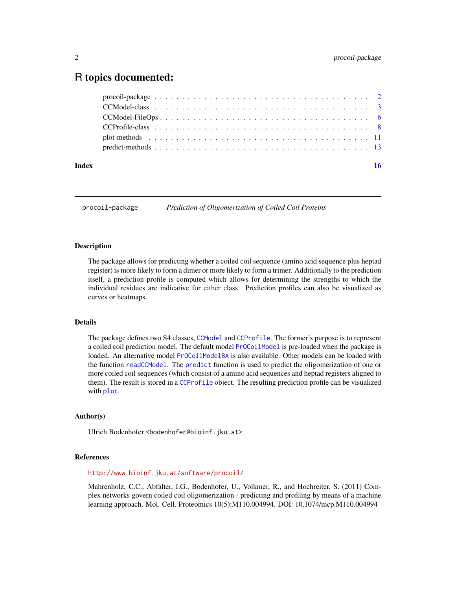# <span id="page-1-0"></span>R topics documented:

| Index | <b>16</b> |
|-------|-----------|
|       |           |
|       |           |
|       |           |
|       |           |
|       |           |
|       |           |

procoil-package *Prediction of Oligomerization of Coiled Coil Proteins*

#### <span id="page-1-1"></span>Description

The package allows for predicting whether a coiled coil sequence (amino acid sequence plus heptad register) is more likely to form a dimer or more likely to form a trimer. Additionally to the prediction itself, a prediction profile is computed which allows for determining the strengths to which the individual residues are indicative for either class. Prediction profiles can also be visualized as curves or heatmaps.

#### Details

The package defines two S4 classes, [CCModel](#page-2-1) and [CCProfile](#page-7-1). The former's purpose is to represent a coiled coil prediction model. The default model [PrOCoilModel](#page-2-2) is pre-loaded when the package is loaded. An alternative model [PrOCoilModelBA](#page-2-2) is also available. Other models can be loaded with the function [readCCModel](#page-5-1). The [predict](#page-0-0) function is used to predict the oligomerization of one or more coiled coil sequences (which consist of a amino acid sequences and heptad registers aligned to them). The result is stored in a [CCProfile](#page-7-1) object. The resulting prediction profile can be visualized with [plot](#page-0-0).

#### Author(s)

Ulrich Bodenhofer <bodenhofer@bioinf.jku.at>

#### References

<http://www.bioinf.jku.at/software/procoil/>

Mahrenholz, C.C., Abfalter, I.G., Bodenhofer, U., Volkmer, R., and Hochreiter, S. (2011) Complex networks govern coiled coil oligomerization - predicting and profiling by means of a machine learning approach. Mol. Cell. Proteomics 10(5):M110.004994. DOI: 10.1074/mcp.M110.004994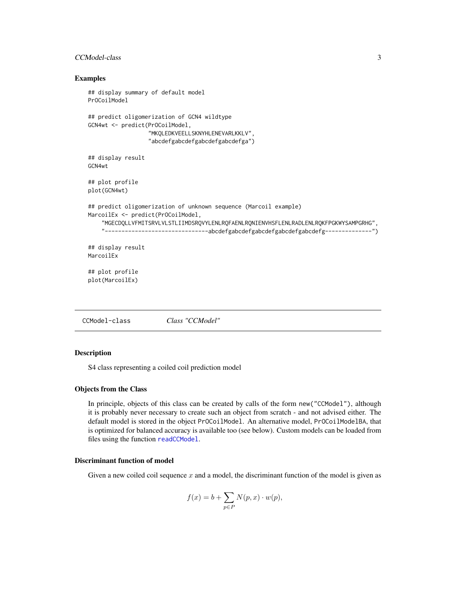# <span id="page-2-0"></span>CCModel-class 3

#### Examples

```
## display summary of default model
PrOCoilModel
## predict oligomerization of GCN4 wildtype
GCN4wt <- predict(PrOCoilModel,
                  "MKQLEDKVEELLSKNYHLENEVARLKKLV",
                  "abcdefgabcdefgabcdefgabcdefga")
## display result
GCN4wt
## plot profile
plot(GCN4wt)
## predict oligomerization of unknown sequence (Marcoil example)
MarcoilEx <- predict(PrOCoilModel,
    "MGECDQLLVFMITSRVLVLSTLIIMDSRQVYLENLRQFAENLRQNIENVHSFLENLRADLENLRQKFPGKWYSAMPGRHG",
    "-------------------------------abcdefgabcdefgabcdefgabcdefgabcdefg--------------")
## display result
MarcoilEx
## plot profile
plot(MarcoilEx)
```
<span id="page-2-1"></span>CCModel-class *Class "CCModel"*

#### <span id="page-2-2"></span>Description

S4 class representing a coiled coil prediction model

#### Objects from the Class

In principle, objects of this class can be created by calls of the form new("CCModel"), although it is probably never necessary to create such an object from scratch - and not advised either. The default model is stored in the object PrOCoilModel. An alternative model, PrOCoilModelBA, that is optimized for balanced accuracy is available too (see below). Custom models can be loaded from files using the function [readCCModel](#page-5-1).

# Discriminant function of model

Given a new coiled coil sequence  $x$  and a model, the discriminant function of the model is given as

$$
f(x) = b + \sum_{p \in P} N(p, x) \cdot w(p),
$$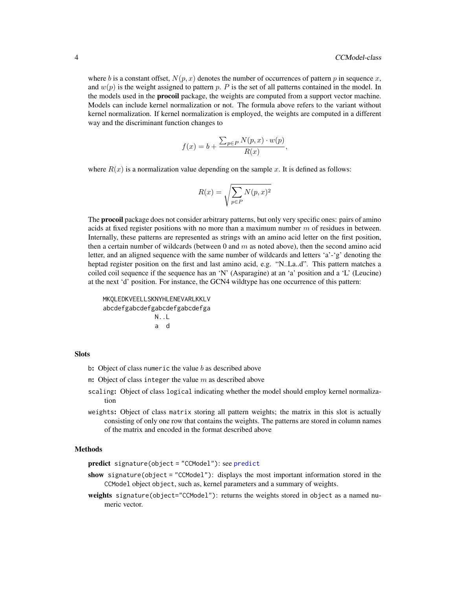<span id="page-3-0"></span>where b is a constant offset,  $N(p, x)$  denotes the number of occurrences of pattern p in sequence x, and  $w(p)$  is the weight assigned to pattern p. P is the set of all patterns contained in the model. In the models used in the **procoil** package, the weights are computed from a support vector machine. Models can include kernel normalization or not. The formula above refers to the variant without kernel normalization. If kernel normalization is employed, the weights are computed in a different way and the discriminant function changes to

$$
f(x) = b + \frac{\sum_{p \in P} N(p, x) \cdot w(p)}{R(x)},
$$

where  $R(x)$  is a normalization value depending on the sample x. It is defined as follows:

$$
R(x)=\sqrt{\sum_{p\in P}N(p,x)^2}
$$

The **procoil** package does not consider arbitrary patterns, but only very specific ones: pairs of amino acids at fixed register positions with no more than a maximum number  $m$  of residues in between. Internally, these patterns are represented as strings with an amino acid letter on the first position, then a certain number of wildcards (between  $0$  and  $m$  as noted above), then the second amino acid letter, and an aligned sequence with the same number of wildcards and letters 'a'-'g' denoting the heptad register position on the first and last amino acid, e.g. "N..La..d". This pattern matches a coiled coil sequence if the sequence has an 'N' (Asparagine) at an 'a' position and a 'L' (Leucine) at the next 'd' position. For instance, the GCN4 wildtype has one occurrence of this pattern:

MKQLEDKVEELLSKNYHLENEVARLKKLV abcdefgabcdefgabcdefgabcdefga N..L a d

#### **Slots**

- b: Object of class numeric the value  $b$  as described above
- m: Object of class integer the value  $m$  as described above
- scaling: Object of class logical indicating whether the model should employ kernel normalization
- weights: Object of class matrix storing all pattern weights; the matrix in this slot is actually consisting of only one row that contains the weights. The patterns are stored in column names of the matrix and encoded in the format described above

# Methods

predict signature(object = "CCModel"): see [predict](#page-0-0)

- show signature(object = "CCModel"): displays the most important information stored in the CCModel object object, such as, kernel parameters and a summary of weights.
- weights signature(object="CCModel"): returns the weights stored in object as a named numeric vector.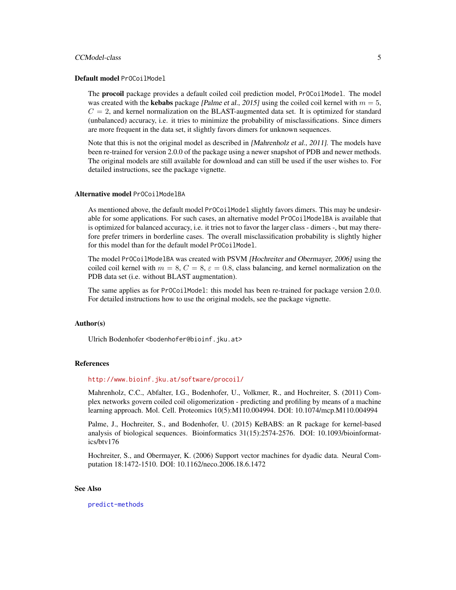#### CCModel-class 5

#### Default model PrOCoilModel

The **procoil** package provides a default coiled coil prediction model, Pr0CoilModel. The model was created with the **kebabs** package [Palme et al., 2015] using the coiled coil kernel with  $m = 5$ ,  $C = 2$ , and kernel normalization on the BLAST-augmented data set. It is optimized for standard (unbalanced) accuracy, i.e. it tries to minimize the probability of misclassifications. Since dimers are more frequent in the data set, it slightly favors dimers for unknown sequences.

Note that this is not the original model as described in [Mahrenholz et al., 2011]. The models have been re-trained for version 2.0.0 of the package using a newer snapshot of PDB and newer methods. The original models are still available for download and can still be used if the user wishes to. For detailed instructions, see the package vignette.

#### Alternative model PrOCoilModelBA

As mentioned above, the default model PrOCoilModel slightly favors dimers. This may be undesirable for some applications. For such cases, an alternative model PrOCoilModelBA is available that is optimized for balanced accuracy, i.e. it tries not to favor the larger class - dimers -, but may therefore prefer trimers in borderline cases. The overall misclassification probability is slightly higher for this model than for the default model PrOCoilModel.

The model PrOCoilModelBA was created with PSVM [Hochreiter and Obermayer, 2006] using the coiled coil kernel with  $m = 8, C = 8, \epsilon = 0.8$ , class balancing, and kernel normalization on the PDB data set (i.e. without BLAST augmentation).

The same applies as for Pr0CoilModel: this model has been re-trained for package version 2.0.0. For detailed instructions how to use the original models, see the package vignette.

#### Author(s)

Ulrich Bodenhofer <bodenhofer@bioinf.jku.at>

#### References

#### <http://www.bioinf.jku.at/software/procoil/>

Mahrenholz, C.C., Abfalter, I.G., Bodenhofer, U., Volkmer, R., and Hochreiter, S. (2011) Complex networks govern coiled coil oligomerization - predicting and profiling by means of a machine learning approach. Mol. Cell. Proteomics 10(5):M110.004994. DOI: 10.1074/mcp.M110.004994

Palme, J., Hochreiter, S., and Bodenhofer, U. (2015) KeBABS: an R package for kernel-based analysis of biological sequences. Bioinformatics 31(15):2574-2576. DOI: 10.1093/bioinformatics/btv176

Hochreiter, S., and Obermayer, K. (2006) Support vector machines for dyadic data. Neural Computation 18:1472-1510. DOI: 10.1162/neco.2006.18.6.1472

#### See Also

[predict-methods](#page-12-1)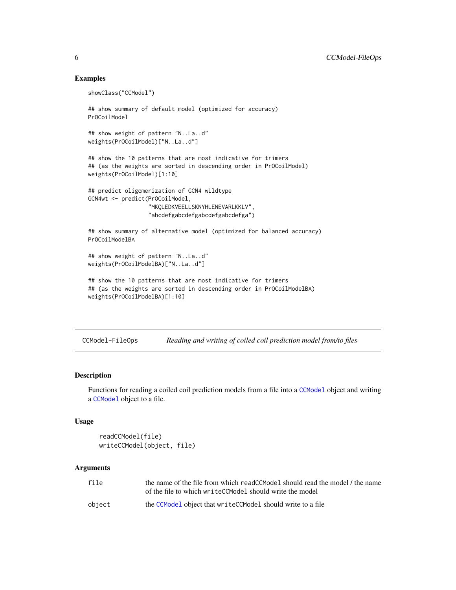### Examples

```
showClass("CCModel")
## show summary of default model (optimized for accuracy)
PrOCoilModel
## show weight of pattern "N..La..d"
weights(PrOCoilModel)["N..La..d"]
## show the 10 patterns that are most indicative for trimers
## (as the weights are sorted in descending order in PrOCoilModel)
weights(PrOCoilModel)[1:10]
## predict oligomerization of GCN4 wildtype
GCN4wt <- predict(PrOCoilModel,
                  "MKQLEDKVEELLSKNYHLENEVARLKKLV",
                  "abcdefgabcdefgabcdefgabcdefga")
## show summary of alternative model (optimized for balanced accuracy)
PrOCoilModelBA
## show weight of pattern "N..La..d"
weights(PrOCoilModelBA)["N..La..d"]
## show the 10 patterns that are most indicative for trimers
## (as the weights are sorted in descending order in PrOCoilModelBA)
weights(PrOCoilModelBA)[1:10]
```
CCModel-FileOps *Reading and writing of coiled coil prediction model from/to files*

#### <span id="page-5-1"></span>Description

Functions for reading a coiled coil prediction models from a file into a [CCModel](#page-2-1) object and writing a [CCModel](#page-2-1) object to a file.

# Usage

```
readCCModel(file)
writeCCModel(object, file)
```
#### Arguments

| file   | the name of the file from which readCCModel should read the model / the name |
|--------|------------------------------------------------------------------------------|
|        | of the file to which write CCModel should write the model                    |
| object | the CCModel object that write CCModel should write to a file                 |

<span id="page-5-0"></span>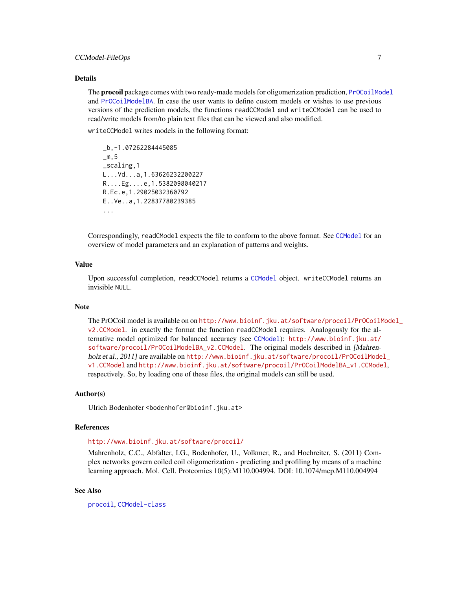# <span id="page-6-0"></span>CCModel-FileOps 7

#### Details

The **procoil** package comes with two ready-made models for oligomerization prediction, [PrOCoilModel](#page-2-2) and [PrOCoilModelBA](#page-2-2). In case the user wants to define custom models or wishes to use previous versions of the prediction models, the functions readCCModel and writeCCModel can be used to read/write models from/to plain text files that can be viewed and also modified.

writeCCModel writes models in the following format:

```
_b,-1.07262284445085
\mathsf{m}, 5_scaling,1
L...Vd...a,1.63626232200227
R....Eg....e,1.5382098040217
R.Ec.e,1.29025032360792
E..Ve..a,1.22837780239385
...
```
Correspondingly, readCModel expects the file to conform to the above format. See [CCModel](#page-2-1) for an overview of model parameters and an explanation of patterns and weights.

#### Value

Upon successful completion, readCCModel returns a [CCModel](#page-2-1) object. writeCCModel returns an invisible NULL.

#### Note

The PrOCoil model is available on on [http://www.bioinf.jku.at/software/procoil/PrOCoilM](http://www.bioinf.jku.at/software/procoil/PrOCoilModel_v2.CCModel)odel\_ [v2.CCModel](http://www.bioinf.jku.at/software/procoil/PrOCoilModel_v2.CCModel). in exactly the format the function readCCModel requires. Analogously for the alternative model optimized for balanced accuracy (see [CCModel](#page-2-1)): [http://www.bioinf.jku.at/](http://www.bioinf.jku.at/software/procoil/PrOCoilModelBA_v2.CCModel) software/procoil/Pr0CoilModelBA\_v2.CCModel. The original models described in [Mahrenholz et al., 2011] are available on http://www.bioinf.jku.at/software/procoil/Pr0CoilModel\_ [v1.CCModel](http://www.bioinf.jku.at/software/procoil/PrOCoilModel_v1.CCModel) and [http://www.bioinf.jku.at/software/procoil/PrOCoilModelBA\\_v1.CCModel](http://www.bioinf.jku.at/software/procoil/PrOCoilModelBA_v1.CCModel), respectively. So, by loading one of these files, the original models can still be used.

### Author(s)

Ulrich Bodenhofer <bodenhofer@bioinf.jku.at>

#### References

<http://www.bioinf.jku.at/software/procoil/>

Mahrenholz, C.C., Abfalter, I.G., Bodenhofer, U., Volkmer, R., and Hochreiter, S. (2011) Complex networks govern coiled coil oligomerization - predicting and profiling by means of a machine learning approach. Mol. Cell. Proteomics 10(5):M110.004994. DOI: 10.1074/mcp.M110.004994

# See Also

[procoil](#page-1-1), [CCModel-class](#page-2-1)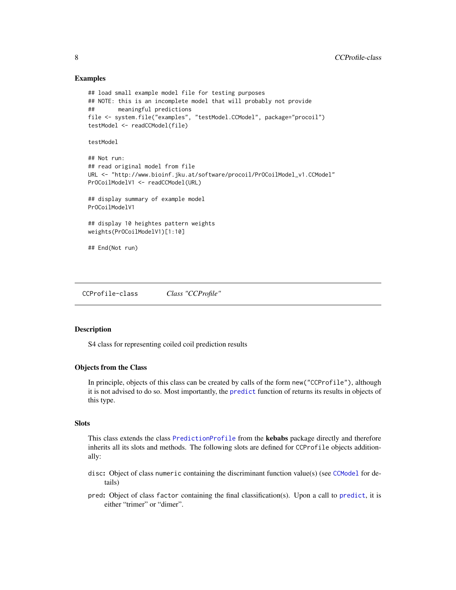### Examples

```
## load small example model file for testing purposes
## NOTE: this is an incomplete model that will probably not provide
## meaningful predictions
file <- system.file("examples", "testModel.CCModel", package="procoil")
testModel <- readCCModel(file)
testModel
## Not run:
## read original model from file
URL <- "http://www.bioinf.jku.at/software/procoil/PrOCoilModel_v1.CCModel"
PrOCoilModelV1 <- readCCModel(URL)
## display summary of example model
PrOCoilModelV1
## display 10 heightes pattern weights
weights(PrOCoilModelV1)[1:10]
## End(Not run)
```
<span id="page-7-1"></span>CCProfile-class *Class "CCProfile"*

#### Description

S4 class for representing coiled coil prediction results

#### Objects from the Class

In principle, objects of this class can be created by calls of the form new("CCProfile"), although it is not advised to do so. Most importantly, the [predict](#page-0-0) function of returns its results in objects of this type.

# **Slots**

This class extends the class [PredictionProfile](#page-0-0) from the kebabs package directly and therefore inherits all its slots and methods. The following slots are defined for CCProfile objects additionally:

- disc: Object of class numeric containing the discriminant function value(s) (see [CCModel](#page-2-1) for details)
- pred: Object of class factor containing the final classification(s). Upon a call to [predict](#page-0-0), it is either "trimer" or "dimer".

<span id="page-7-0"></span>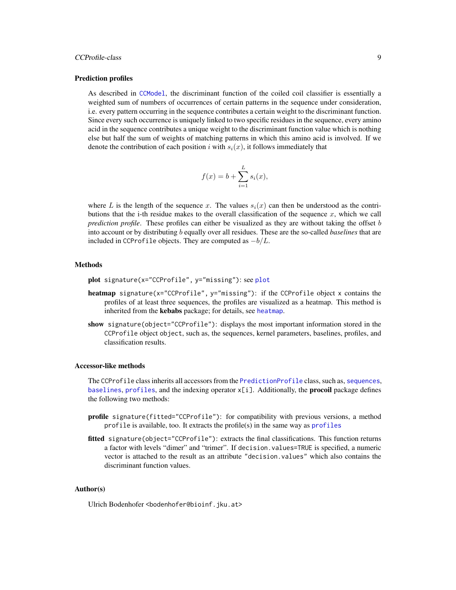# <span id="page-8-0"></span>CCProfile-class 9

#### Prediction profiles

As described in [CCModel](#page-2-1), the discriminant function of the coiled coil classifier is essentially a weighted sum of numbers of occurrences of certain patterns in the sequence under consideration, i.e. every pattern occurring in the sequence contributes a certain weight to the discriminant function. Since every such occurrence is uniquely linked to two specific residues in the sequence, every amino acid in the sequence contributes a unique weight to the discriminant function value which is nothing else but half the sum of weights of matching patterns in which this amino acid is involved. If we denote the contribution of each position i with  $s_i(x)$ , it follows immediately that

$$
f(x) = b + \sum_{i=1}^{L} s_i(x),
$$

where L is the length of the sequence x. The values  $s_i(x)$  can then be understood as the contributions that the i-th residue makes to the overall classification of the sequence  $x$ , which we call *prediction profile*. These profiles can either be visualized as they are without taking the offset b into account or by distributing b equally over all residues. These are the so-called *baselines* that are included in CCProfile objects. They are computed as  $-b/L$ .

#### Methods

- plot signature(x="CCProfile", y="missing"): see [plot](#page-0-0)
- heatmap signature(x="CCProfile", y="missing"): if the CCProfile object x contains the profiles of at least three sequences, the profiles are visualized as a heatmap. This method is inherited from the kebabs package; for details, see [heatmap](#page-0-0).
- show signature(object="CCProfile"): displays the most important information stored in the CCProfile object object, such as, the sequences, kernel parameters, baselines, profiles, and classification results.

#### Accessor-like methods

The CCProfile class inherits all accessors from the [PredictionProfile](#page-0-0) class, such as, [sequences](#page-0-0), [baselines](#page-0-0), [profiles](#page-0-0), and the indexing operator  $x[i]$ . Additionally, the **procoil** package defines the following two methods:

- profile signature(fitted="CCProfile"): for compatibility with previous versions, a method profile is available, too. It extracts the profile(s) in the same way as [profiles](#page-0-0)
- fitted signature(object="CCProfile"): extracts the final classifications. This function returns a factor with levels "dimer" and "trimer". If decision.values=TRUE is specified, a numeric vector is attached to the result as an attribute "decision.values" which also contains the discriminant function values.

#### Author(s)

Ulrich Bodenhofer <bodenhofer@bioinf.jku.at>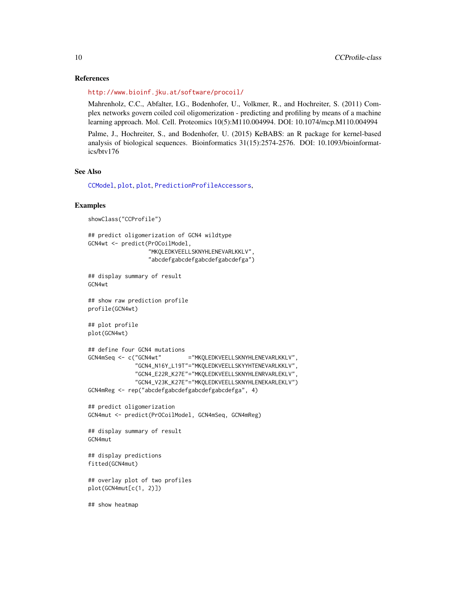#### References

<http://www.bioinf.jku.at/software/procoil/>

Mahrenholz, C.C., Abfalter, I.G., Bodenhofer, U., Volkmer, R., and Hochreiter, S. (2011) Complex networks govern coiled coil oligomerization - predicting and profiling by means of a machine learning approach. Mol. Cell. Proteomics 10(5):M110.004994. DOI: 10.1074/mcp.M110.004994

Palme, J., Hochreiter, S., and Bodenhofer, U. (2015) KeBABS: an R package for kernel-based analysis of biological sequences. Bioinformatics 31(15):2574-2576. DOI: 10.1093/bioinformatics/btv176

# See Also

[CCModel](#page-2-1), [plot](#page-0-0), [plot](#page-0-0), [PredictionProfileAccessors](#page-0-0),

#### Examples

```
showClass("CCProfile")
## predict oligomerization of GCN4 wildtype
GCN4wt <- predict(PrOCoilModel,
                  "MKQLEDKVEELLSKNYHLENEVARLKKLV",
                  "abcdefgabcdefgabcdefgabcdefga")
## display summary of result
GCN4wt
## show raw prediction profile
profile(GCN4wt)
## plot profile
plot(GCN4wt)
## define four GCN4 mutations
GCN4mSeq <- c("GCN4wt" ="MKQLEDKVEELLSKNYHLENEVARLKKLV",
              "GCN4_N16Y_L19T"="MKQLEDKVEELLSKYYHTENEVARLKKLV",
              "GCN4_E22R_K27E"="MKQLEDKVEELLSKNYHLENRVARLEKLV",
              "GCN4_V23K_K27E"="MKQLEDKVEELLSKNYHLENEKARLEKLV")
GCN4mReg <- rep("abcdefgabcdefgabcdefgabcdefga", 4)
## predict oligomerization
GCN4mut <- predict(PrOCoilModel, GCN4mSeq, GCN4mReg)
## display summary of result
GCN4mut
## display predictions
fitted(GCN4mut)
## overlay plot of two profiles
plot(GCN4mut[c(1, 2)])
## show heatmap
```
<span id="page-9-0"></span>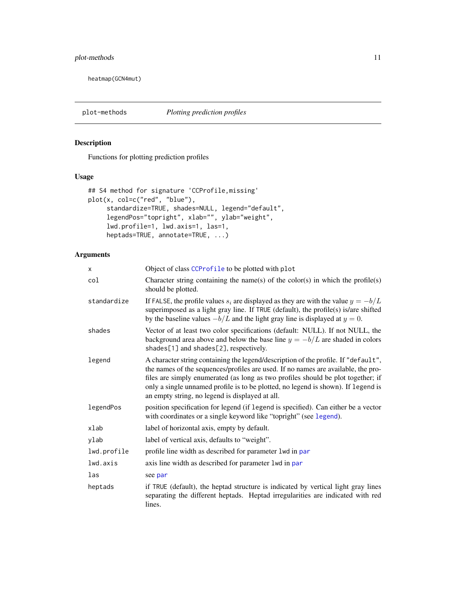# <span id="page-10-0"></span>plot-methods 11

heatmap(GCN4mut)

# <span id="page-10-1"></span>Description

Functions for plotting prediction profiles

# Usage

```
## S4 method for signature 'CCProfile,missing'
plot(x, col=c("red", "blue"),
     standardize=TRUE, shades=NULL, legend="default",
     legendPos="topright", xlab="", ylab="weight",
     lwd.profile=1, lwd.axis=1, las=1,
     heptads=TRUE, annotate=TRUE, ...)
```
# Arguments

| X           | Object of class CCProfile to be plotted with plot                                                                                                                                                                                                                                                                                                                                                   |
|-------------|-----------------------------------------------------------------------------------------------------------------------------------------------------------------------------------------------------------------------------------------------------------------------------------------------------------------------------------------------------------------------------------------------------|
| col         | Character string containing the name(s) of the color(s) in which the profile(s)<br>should be plotted.                                                                                                                                                                                                                                                                                               |
| standardize | If FALSE, the profile values $s_i$ are displayed as they are with the value $y = -b/L$<br>superimposed as a light gray line. If TRUE (default), the profile(s) is/are shifted<br>by the baseline values $-b/L$ and the light gray line is displayed at $y = 0$ .                                                                                                                                    |
| shades      | Vector of at least two color specifications (default: NULL). If not NULL, the<br>background area above and below the base line $y = -b/L$ are shaded in colors<br>shades[1] and shades[2], respectively.                                                                                                                                                                                            |
| legend      | A character string containing the legend/description of the profile. If "default",<br>the names of the sequences/profiles are used. If no names are available, the pro-<br>files are simply enumerated (as long as two profiles should be plot together; if<br>only a single unnamed profile is to be plotted, no legend is shown). If legend is<br>an empty string, no legend is displayed at all. |
| legendPos   | position specification for legend (if legend is specified). Can either be a vector<br>with coordinates or a single keyword like "topright" (see legend).                                                                                                                                                                                                                                            |
| xlab        | label of horizontal axis, empty by default.                                                                                                                                                                                                                                                                                                                                                         |
| ylab        | label of vertical axis, defaults to "weight".                                                                                                                                                                                                                                                                                                                                                       |
| lwd.profile | profile line width as described for parameter 1 wd in par                                                                                                                                                                                                                                                                                                                                           |
| lwd.axis    | axis line width as described for parameter 1 wd in par                                                                                                                                                                                                                                                                                                                                              |
| las         | see par                                                                                                                                                                                                                                                                                                                                                                                             |
| heptads     | if TRUE (default), the heptad structure is indicated by vertical light gray lines<br>separating the different heptads. Heptad irregularities are indicated with red<br>lines.                                                                                                                                                                                                                       |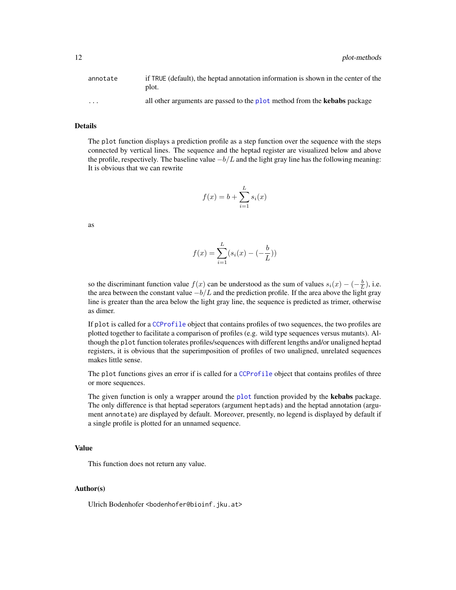<span id="page-11-0"></span>

| annotate          | if TRUE (default), the heptad annotation information is shown in the center of the<br>plot. |
|-------------------|---------------------------------------------------------------------------------------------|
| $\cdot\cdot\cdot$ | all other arguments are passed to the plot method from the <b>kebabs</b> package            |

#### Details

The plot function displays a prediction profile as a step function over the sequence with the steps connected by vertical lines. The sequence and the heptad register are visualized below and above the profile, respectively. The baseline value  $-b/L$  and the light gray line has the following meaning: It is obvious that we can rewrite

$$
f(x) = b + \sum_{i=1}^{L} s_i(x)
$$

as

$$
f(x) = \sum_{i=1}^{L} (s_i(x) - (-\frac{b}{L}))
$$

so the discriminant function value  $f(x)$  can be understood as the sum of values  $s_i(x) - (-\frac{b}{L})$ , i.e. the area between the constant value  $-b/L$  and the prediction profile. If the area above the light gray line is greater than the area below the light gray line, the sequence is predicted as trimer, otherwise as dimer.

If plot is called for a [CCProfile](#page-7-1) object that contains profiles of two sequences, the two profiles are plotted together to facilitate a comparison of profiles (e.g. wild type sequences versus mutants). Although the plot function tolerates profiles/sequences with different lengths and/or unaligned heptad registers, it is obvious that the superimposition of profiles of two unaligned, unrelated sequences makes little sense.

The plot functions gives an error if is called for a [CCProfile](#page-7-1) object that contains profiles of three or more sequences.

The given function is only a wrapper around the [plot](#page-0-0) function provided by the kebabs package. The only difference is that heptad seperators (argument heptads) and the heptad annotation (argument annotate) are displayed by default. Moreover, presently, no legend is displayed by default if a single profile is plotted for an unnamed sequence.

#### Value

This function does not return any value.

#### Author(s)

Ulrich Bodenhofer <bodenhofer@bioinf.jku.at>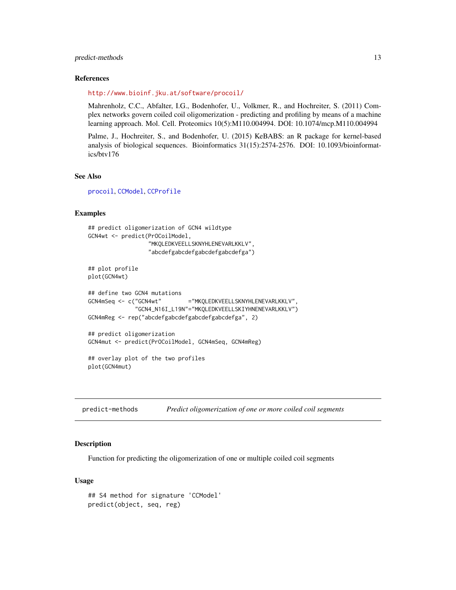# <span id="page-12-0"></span>predict-methods 13

#### References

<http://www.bioinf.jku.at/software/procoil/>

Mahrenholz, C.C., Abfalter, I.G., Bodenhofer, U., Volkmer, R., and Hochreiter, S. (2011) Complex networks govern coiled coil oligomerization - predicting and profiling by means of a machine learning approach. Mol. Cell. Proteomics 10(5):M110.004994. DOI: 10.1074/mcp.M110.004994

Palme, J., Hochreiter, S., and Bodenhofer, U. (2015) KeBABS: an R package for kernel-based analysis of biological sequences. Bioinformatics 31(15):2574-2576. DOI: 10.1093/bioinformatics/btv176

# See Also

[procoil](#page-1-1), [CCModel](#page-2-1), [CCProfile](#page-7-1)

# Examples

```
## predict oligomerization of GCN4 wildtype
GCN4wt <- predict(PrOCoilModel,
                  "MKQLEDKVEELLSKNYHLENEVARLKKLV",
                  "abcdefgabcdefgabcdefgabcdefga")
## plot profile
plot(GCN4wt)
## define two GCN4 mutations
GCN4mSeq <- c("GCN4wt" ="MKQLEDKVEELLSKNYHLENEVARLKKLV",
              "GCN4_N16I_L19N"="MKQLEDKVEELLSKIYHNENEVARLKKLV")
GCN4mReg <- rep("abcdefgabcdefgabcdefgabcdefga", 2)
## predict oligomerization
GCN4mut <- predict(PrOCoilModel, GCN4mSeq, GCN4mReg)
## overlay plot of the two profiles
plot(GCN4mut)
```
<span id="page-12-1"></span>predict-methods *Predict oligomerization of one or more coiled coil segments*

#### Description

Function for predicting the oligomerization of one or multiple coiled coil segments

#### Usage

```
## S4 method for signature 'CCModel'
predict(object, seq, reg)
```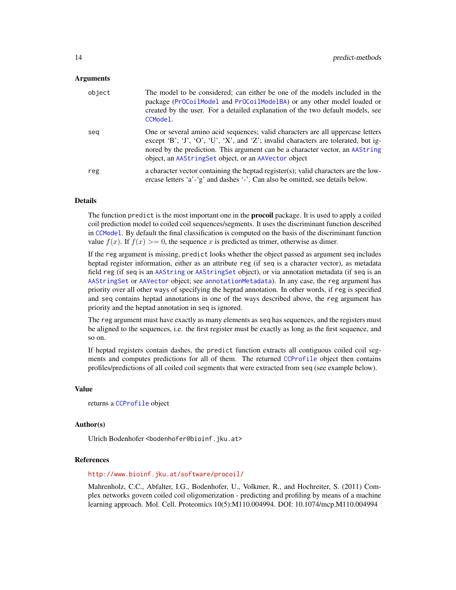#### <span id="page-13-0"></span>Arguments

| object | The model to be considered; can either be one of the models included in the<br>package (Pr0CoilModel and Pr0CoilModelBA) or any other model loaded or<br>created by the user. For a detailed explanation of the two default models, see<br>CCModel.                                                            |
|--------|----------------------------------------------------------------------------------------------------------------------------------------------------------------------------------------------------------------------------------------------------------------------------------------------------------------|
| seg    | One or several amino acid sequences; valid characters are all uppercase letters<br>except 'B', 'J', 'O', 'U', 'X', and 'Z'; invalid characters are tolerated, but ig-<br>nored by the prediction. This argument can be a character vector, an AAString<br>object, an AAStringSet object, or an AAVector object |
| reg    | a character vector containing the heptad register(s); valid characters are the low-<br>ercase letters 'a'-'g' and dashes '-'. Can also be omitted, see details below.                                                                                                                                          |

# Details

The function predict is the most important one in the **procoil** package. It is used to apply a coiled coil prediction model to coiled coil sequences/segments. It uses the discriminant function described in [CCModel](#page-2-1). By default the final classification is computed on the basis of the discriminant function value  $f(x)$ . If  $f(x) \ge 0$ , the sequence x is predicted as trimer, otherwise as dimer.

If the reg argument is missing, predict looks whether the object passed as argument seq includes heptad register information, either as an attribute reg (if seq is a character vector), as metadata field reg (if seq is an [AAString](#page-0-0) or [AAStringSet](#page-0-0) object), or via annotation metadata (if seq is an [AAStringSet](#page-0-0) or [AAVector](#page-0-0) object; see [annotationMetadata](#page-0-0)). In any case, the reg argument has priority over all other ways of specifying the heptad annotation. In other words, if reg is specified and seq contains heptad annotations in one of the ways described above, the reg argument has priority and the heptad annotation in seq is ignored.

The reg argument must have exactly as many elements as seq has sequences, and the registers must be aligned to the sequences, i.e. the first register must be exactly as long as the first sequence, and so on.

If heptad registers contain dashes, the predict function extracts all contiguous coiled coil segments and computes predictions for all of them. The returned [CCProfile](#page-7-1) object then contains profiles/predictions of all coiled coil segments that were extracted from seq (see example below).

#### Value

```
returns a CCProfile object
```
#### Author(s)

Ulrich Bodenhofer <bodenhofer@bioinf.jku.at>

### References

<http://www.bioinf.jku.at/software/procoil/>

Mahrenholz, C.C., Abfalter, I.G., Bodenhofer, U., Volkmer, R., and Hochreiter, S. (2011) Complex networks govern coiled coil oligomerization - predicting and profiling by means of a machine learning approach. Mol. Cell. Proteomics 10(5):M110.004994. DOI: 10.1074/mcp.M110.004994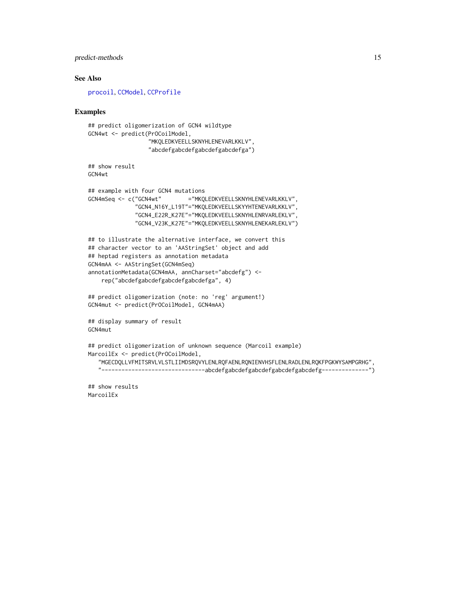# <span id="page-14-0"></span>predict-methods 15

#### See Also

[procoil](#page-1-1), [CCModel](#page-2-1), [CCProfile](#page-7-1)

#### Examples

```
## predict oligomerization of GCN4 wildtype
GCN4wt <- predict(PrOCoilModel,
                  "MKQLEDKVEELLSKNYHLENEVARLKKLV",
                  "abcdefgabcdefgabcdefgabcdefga")
## show result
GCN4wt
## example with four GCN4 mutations
GCN4mSeq <- c("GCN4wt" ="MKQLEDKVEELLSKNYHLENEVARLKKLV",
              "GCN4_N16Y_L19T"="MKQLEDKVEELLSKYYHTENEVARLKKLV",
              "GCN4_E22R_K27E"="MKQLEDKVEELLSKNYHLENRVARLEKLV",
              "GCN4_V23K_K27E"="MKQLEDKVEELLSKNYHLENEKARLEKLV")
## to illustrate the alternative interface, we convert this
## character vector to an 'AAStringSet' object and add
## heptad registers as annotation metadata
GCN4mAA <- AAStringSet(GCN4mSeq)
annotationMetadata(GCN4mAA, annCharset="abcdefg") <-
    rep("abcdefgabcdefgabcdefgabcdefga", 4)
## predict oligomerization (note: no 'reg' argument!)
GCN4mut <- predict(PrOCoilModel, GCN4mAA)
## display summary of result
GCN4mut
## predict oligomerization of unknown sequence (Marcoil example)
MarcoilEx <- predict(PrOCoilModel,
   "MGECDQLLVFMITSRVLVLSTLIIMDSRQVYLENLRQFAENLRQNIENVHSFLENLRADLENLRQKFPGKWYSAMPGRHG",
   "-------------------------------abcdefgabcdefgabcdefgabcdefgabcdefg--------------")
```
## show results MarcoilEx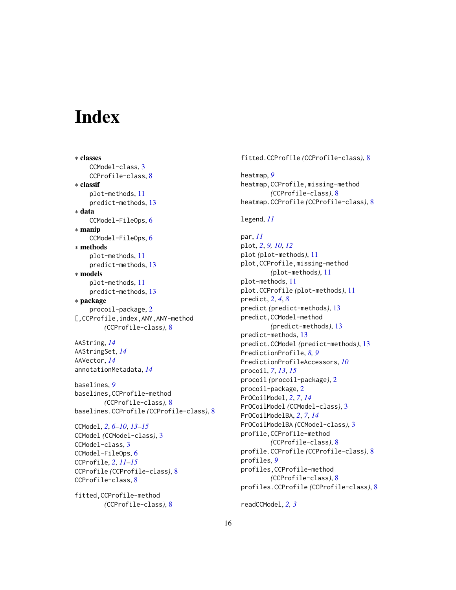# <span id="page-15-0"></span>**Index**

∗ classes CCModel-class, [3](#page-2-0) CCProfile-class, [8](#page-7-0) ∗ classif plot-methods, [11](#page-10-0) predict-methods, [13](#page-12-0) ∗ data CCModel-FileOps, [6](#page-5-0) ∗ manip CCModel-FileOps, [6](#page-5-0) ∗ methods plot-methods, [11](#page-10-0) predict-methods, [13](#page-12-0) ∗ models plot-methods, [11](#page-10-0) predict-methods, [13](#page-12-0) ∗ package procoil-package, [2](#page-1-0) [,CCProfile,index,ANY,ANY-method *(*CCProfile-class*)*, [8](#page-7-0)

AAString, *[14](#page-13-0)* AAStringSet, *[14](#page-13-0)* AAVector, *[14](#page-13-0)* annotationMetadata, *[14](#page-13-0)*

baselines, *[9](#page-8-0)* baselines,CCProfile-method *(*CCProfile-class*)*, [8](#page-7-0) baselines.CCProfile *(*CCProfile-class*)*, [8](#page-7-0)

CCModel, *[2](#page-1-0)*, *[6](#page-5-0)[–10](#page-9-0)*, *[13](#page-12-0)[–15](#page-14-0)* CCModel *(*CCModel-class*)*, [3](#page-2-0) CCModel-class, [3](#page-2-0) CCModel-FileOps, [6](#page-5-0) CCProfile, *[2](#page-1-0)*, *[11](#page-10-0)[–15](#page-14-0)* CCProfile *(*CCProfile-class*)*, [8](#page-7-0) CCProfile-class, [8](#page-7-0)

fitted,CCProfile-method *(*CCProfile-class*)*, [8](#page-7-0)

# fitted.CCProfile *(*CCProfile-class*)*, [8](#page-7-0)

heatmap, *[9](#page-8-0)* heatmap,CCProfile,missing-method *(*CCProfile-class*)*, [8](#page-7-0) heatmap.CCProfile *(*CCProfile-class*)*, [8](#page-7-0)

legend, *[11](#page-10-0)*

par, *[11](#page-10-0)* plot, *[2](#page-1-0)*, *[9,](#page-8-0) [10](#page-9-0)*, *[12](#page-11-0)* plot *(*plot-methods*)*, [11](#page-10-0) plot,CCProfile,missing-method *(*plot-methods*)*, [11](#page-10-0) plot-methods, [11](#page-10-0) plot.CCProfile *(*plot-methods*)*, [11](#page-10-0) predict, *[2](#page-1-0)*, *[4](#page-3-0)*, *[8](#page-7-0)* predict *(*predict-methods*)*, [13](#page-12-0) predict,CCModel-method *(*predict-methods*)*, [13](#page-12-0) predict-methods, [13](#page-12-0) predict.CCModel *(*predict-methods*)*, [13](#page-12-0) PredictionProfile, *[8,](#page-7-0) [9](#page-8-0)* PredictionProfileAccessors, *[10](#page-9-0)* procoil, *[7](#page-6-0)*, *[13](#page-12-0)*, *[15](#page-14-0)* procoil *(*procoil-package*)*, [2](#page-1-0) procoil-package, [2](#page-1-0) PrOCoilModel, *[2](#page-1-0)*, *[7](#page-6-0)*, *[14](#page-13-0)* PrOCoilModel *(*CCModel-class*)*, [3](#page-2-0) PrOCoilModelBA, *[2](#page-1-0)*, *[7](#page-6-0)*, *[14](#page-13-0)* PrOCoilModelBA *(*CCModel-class*)*, [3](#page-2-0) profile,CCProfile-method *(*CCProfile-class*)*, [8](#page-7-0) profile.CCProfile *(*CCProfile-class*)*, [8](#page-7-0) profiles, *[9](#page-8-0)* profiles,CCProfile-method *(*CCProfile-class*)*, [8](#page-7-0) profiles.CCProfile *(*CCProfile-class*)*, [8](#page-7-0)

readCCModel, *[2,](#page-1-0) [3](#page-2-0)*